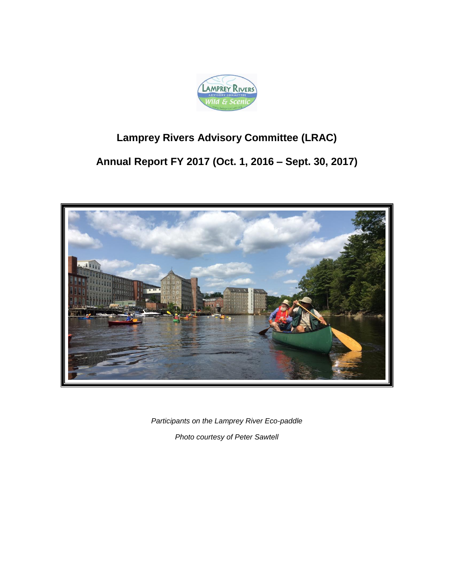

# **Lamprey Rivers Advisory Committee (LRAC)**

# **Annual Report FY 2017 (Oct. 1, 2016 – Sept. 30, 2017)**



*Participants on the Lamprey River Eco-paddle Photo courtesy of Peter Sawtell*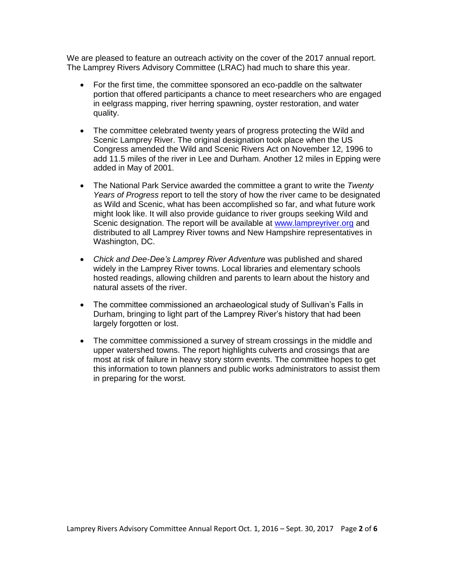We are pleased to feature an outreach activity on the cover of the 2017 annual report. The Lamprey Rivers Advisory Committee (LRAC) had much to share this year.

- For the first time, the committee sponsored an eco-paddle on the saltwater portion that offered participants a chance to meet researchers who are engaged in eelgrass mapping, river herring spawning, oyster restoration, and water quality.
- The committee celebrated twenty years of progress protecting the Wild and Scenic Lamprey River. The original designation took place when the US Congress amended the Wild and Scenic Rivers Act on November 12, 1996 to add 11.5 miles of the river in Lee and Durham. Another 12 miles in Epping were added in May of 2001.
- The National Park Service awarded the committee a grant to write the *Twenty Years of Progress* report to tell the story of how the river came to be designated as Wild and Scenic, what has been accomplished so far, and what future work might look like. It will also provide guidance to river groups seeking Wild and Scenic designation. The report will be available at [www.lampreyriver.org](http://www.lampreyriver.org/) and distributed to all Lamprey River towns and New Hampshire representatives in Washington, DC.
- *Chick and Dee-Dee's Lamprey River Adventure* was published and shared widely in the Lamprey River towns. Local libraries and elementary schools hosted readings, allowing children and parents to learn about the history and natural assets of the river.
- The committee commissioned an archaeological study of Sullivan's Falls in Durham, bringing to light part of the Lamprey River's history that had been largely forgotten or lost.
- The committee commissioned a survey of stream crossings in the middle and upper watershed towns. The report highlights culverts and crossings that are most at risk of failure in heavy story storm events. The committee hopes to get this information to town planners and public works administrators to assist them in preparing for the worst.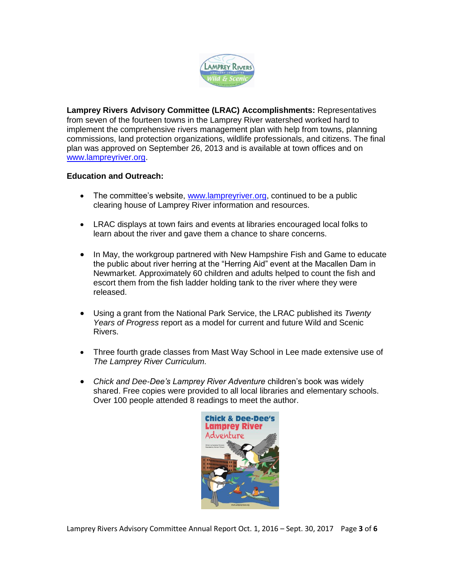

**Lamprey Rivers Advisory Committee (LRAC) Accomplishments:** Representatives from seven of the fourteen towns in the Lamprey River watershed worked hard to implement the comprehensive rivers management plan with help from towns, planning commissions, land protection organizations, wildlife professionals, and citizens. The final plan was approved on September 26, 2013 and is available at town offices and on [www.lampreyriver.org.](../../../../AppData/Local/Temp/Temp1_Re_%20LRAC%20annual%20report.zip/www.lampreyriver.org)

# **Education and Outreach:**

- The committee's website, [www.lampreyriver.org,](http://www.lampreyriver.org/) continued to be a public clearing house of Lamprey River information and resources.
- LRAC displays at town fairs and events at libraries encouraged local folks to learn about the river and gave them a chance to share concerns.
- In May, the workgroup partnered with New Hampshire Fish and Game to educate the public about river herring at the "Herring Aid" event at the Macallen Dam in Newmarket. Approximately 60 children and adults helped to count the fish and escort them from the fish ladder holding tank to the river where they were released.
- Using a grant from the National Park Service, the LRAC published its *Twenty Years of Progress* report as a model for current and future Wild and Scenic Rivers.
- Three fourth grade classes from Mast Way School in Lee made extensive use of *The Lamprey River Curriculum.*
- *Chick and Dee-Dee's Lamprey River Adventure* children's book was widely shared. Free copies were provided to all local libraries and elementary schools. Over 100 people attended 8 readings to meet the author.



Lamprey Rivers Advisory Committee Annual Report Oct. 1, 2016 – Sept. 30, 2017 Page **3** of **6**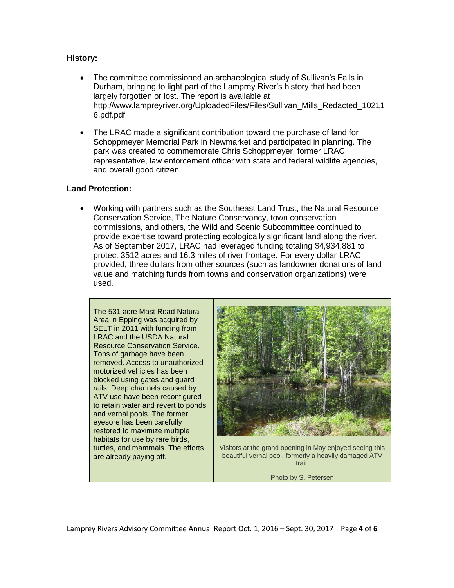## **History:**

- The committee commissioned an archaeological study of Sullivan's Falls in Durham, bringing to light part of the Lamprey River's history that had been largely forgotten or lost. The report is available at http://www.lampreyriver.org/UploadedFiles/Files/Sullivan\_Mills\_Redacted\_10211 6,pdf.pdf
- The LRAC made a significant contribution toward the purchase of land for Schoppmeyer Memorial Park in Newmarket and participated in planning. The park was created to commemorate Chris Schoppmeyer, former LRAC representative, law enforcement officer with state and federal wildlife agencies, and overall good citizen.

#### **Land Protection:**

 Working with partners such as the Southeast Land Trust, the Natural Resource Conservation Service, The Nature Conservancy, town conservation commissions, and others, the Wild and Scenic Subcommittee continued to provide expertise toward protecting ecologically significant land along the river. As of September 2017, LRAC had leveraged funding totaling \$4,934,881 to protect 3512 acres and 16.3 miles of river frontage. For every dollar LRAC provided, three dollars from other sources (such as landowner donations of land value and matching funds from towns and conservation organizations) were used.





Visitors at the grand opening in May enjoyed seeing this beautiful vernal pool, formerly a heavily damaged ATV trail.

Photo by S. Petersen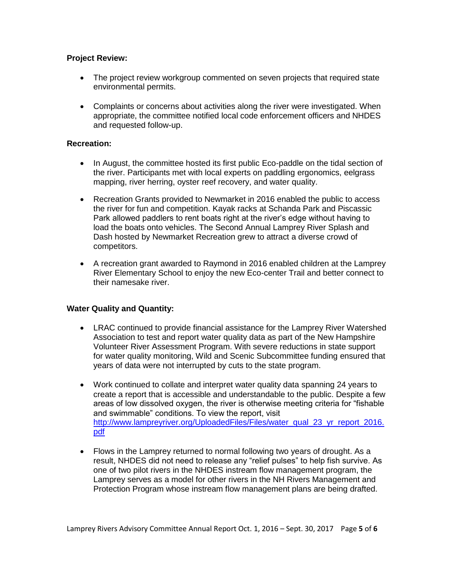## **Project Review:**

- The project review workgroup commented on seven projects that required state environmental permits.
- Complaints or concerns about activities along the river were investigated. When appropriate, the committee notified local code enforcement officers and NHDES and requested follow-up.

#### **Recreation:**

- In August, the committee hosted its first public Eco-paddle on the tidal section of the river. Participants met with local experts on paddling ergonomics, eelgrass mapping, river herring, oyster reef recovery, and water quality.
- Recreation Grants provided to Newmarket in 2016 enabled the public to access the river for fun and competition. Kayak racks at Schanda Park and Piscassic Park allowed paddlers to rent boats right at the river's edge without having to load the boats onto vehicles. The Second Annual Lamprey River Splash and Dash hosted by Newmarket Recreation grew to attract a diverse crowd of competitors.
- A recreation grant awarded to Raymond in 2016 enabled children at the Lamprey River Elementary School to enjoy the new Eco-center Trail and better connect to their namesake river.

# **Water Quality and Quantity:**

- LRAC continued to provide financial assistance for the Lamprey River Watershed Association to test and report water quality data as part of the New Hampshire Volunteer River Assessment Program. With severe reductions in state support for water quality monitoring, Wild and Scenic Subcommittee funding ensured that years of data were not interrupted by cuts to the state program.
- Work continued to collate and interpret water quality data spanning 24 years to create a report that is accessible and understandable to the public. Despite a few areas of low dissolved oxygen, the river is otherwise meeting criteria for "fishable and swimmable" conditions. To view the report, visit [http://www.lampreyriver.org/UploadedFiles/Files/water\\_qual\\_23\\_yr\\_report\\_2016.](http://www.lampreyriver.org/UploadedFiles/Files/water_qual_23_yr_report_2016.pdf) [pdf](http://www.lampreyriver.org/UploadedFiles/Files/water_qual_23_yr_report_2016.pdf)
- Flows in the Lamprey returned to normal following two years of drought. As a result, NHDES did not need to release any "relief pulses" to help fish survive. As one of two pilot rivers in the NHDES instream flow management program, the Lamprey serves as a model for other rivers in the NH Rivers Management and Protection Program whose instream flow management plans are being drafted.